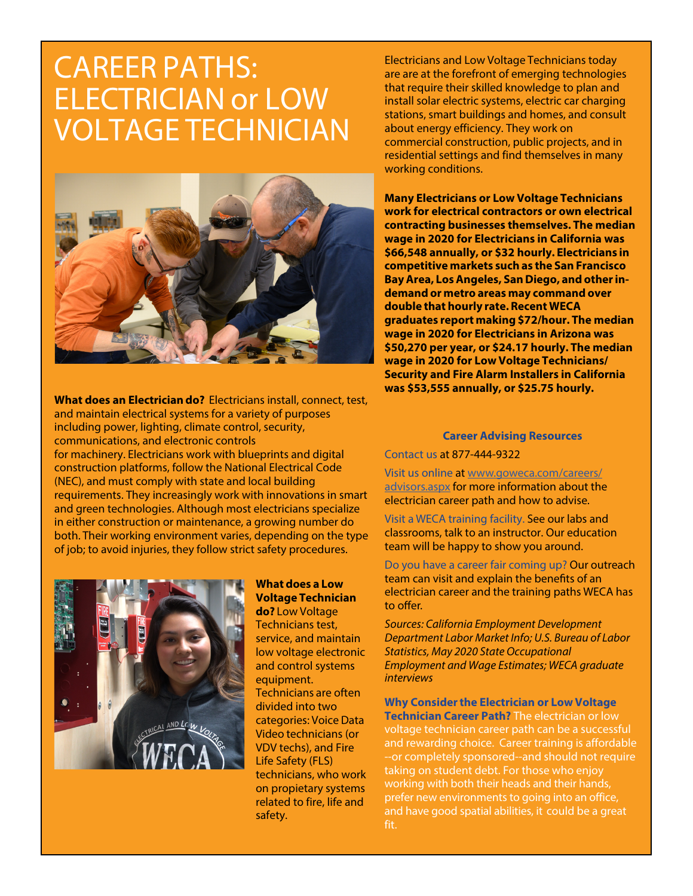## CAREER PATHS: ELECTRICIAN or LOW VOLTAGE TECHNICIAN



**What does an Electrician do?** Electricians install, connect, test, and maintain electrical systems for a variety of purposes including power, lighting, climate control, security, communications, and electronic controls for machinery. Electricians work with blueprints and digital construction platforms, follow the National Electrical Code (NEC), and must comply with state and local building requirements. They increasingly work with innovations in smart and green technologies. Although most electricians specialize in either construction or maintenance, a growing number do both. Their working environment varies, depending on the type of job; to avoid injuries, they follow strict safety procedures.



## **What does a Low Voltage Technician do?** Low Voltage

Technicians test, service, and maintain low voltage electronic and control systems equipment. Technicians are often divided into two categories: Voice Data Video technicians (or VDV techs), and Fire Life Safety (FLS) technicians, who work on propietary systems related to fire, life and safety.

Electricians and Low Voltage Technicians today are are at the forefront of emerging technologies that require their skilled knowledge to plan and install solar electric systems, electric car charging stations, smart buildings and homes, and consult about energy efficiency. They work on commercial construction, public projects, and in residential settings and find themselves in many working conditions.

**Many Electricians or Low Voltage Technicians work for electrical contractors or own electrical contracting businesses themselves. The median wage in 2020 for Electricians in California was \$66,548 annually, or \$32 hourly. Electricians in competitive markets such as the San Francisco Bay Area, Los Angeles, San Diego, and other indemand or metro areas may command over double that hourly rate. Recent WECA graduates report making \$72/hour. The median wage in 2020 for Electricians in Arizona was \$50,270 per year, or \$24.17 hourly. The median wage in 2020 for Low Voltage Technicians/ Security and Fire Alarm Installers in California was \$53,555 annually, or \$25.75 hourly.**

## **Career Advising Resources**

Contact us at 877-444-9322

Visit us online at www.goweca.com/careers/ advisors.aspx for more information about the electrician career path and how to advise.

Visit a WECA training facility. See our labs and classrooms, talk to an instructor. Our education team will be happy to show you around.

Do you have a career fair coming up? Our outreach team can visit and explain the benefits of an electrician career and the training paths WECA has to offer.

*Sources: California Employment Development Department Labor Market Info; U.S. Bureau of Labor Statistics, May 2020 State Occupational Employment and Wage Estimates*; WECA graduate interviews

**Why Consider the Electrician or Low Voltage Technician Career Path?** The electrician or low voltage technician career path can be a successful and rewarding choice. Career training is affordable --or completely sponsored--and should not require taking on student debt. For those who enjoy working with both their heads and their hands, prefer new environments to going into an office, and have good spatial abilities, it could be a great